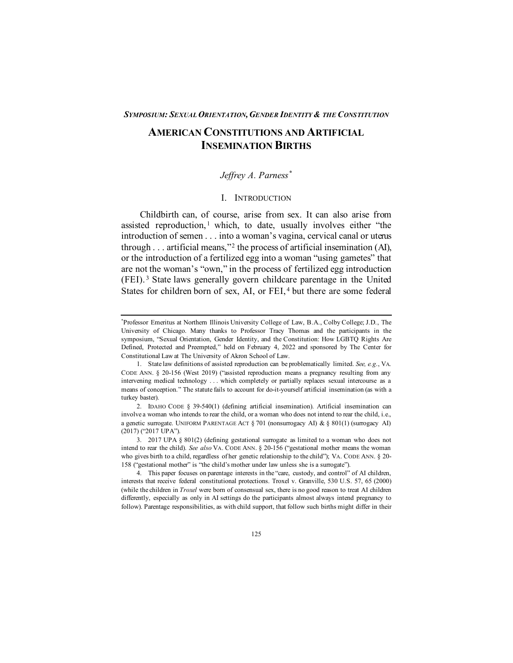# **AMERICAN CONSTITUTIONS AND ARTIFICIAL INSEMINATION BIRTHS**

# *Jeffrey A. Parness[\\*](#page-0-0)*

# I. INTRODUCTION

Childbirth can, of course, arise from sex. It can also arise from assisted reproduction,<sup>[1](#page-0-1)</sup> which, to date, usually involves either "the introduction of semen . . . into a woman's vagina, cervical canal or uterus through  $\dots$  artificial means,"<sup>[2](#page-0-2)</sup> the process of artificial insemination (AI), or the introduction of a fertilized egg into a woman "using gametes" that are not the woman's "own," in the process of fertilized egg introduction (FEI). [3](#page-0-3) State laws generally govern childcare parentage in the United States for children born of sex, AI, or FEI,<sup>[4](#page-0-4)</sup> but there are some federal

<span id="page-0-0"></span><sup>\*</sup> Professor Emeritus at Northern Illinois University College of Law, B.A., Colby College; J.D., The University of Chicago. Many thanks to Professor Tracy Thomas and the participants in the symposium, "Sexual Orientation, Gender Identity, and the Constitution: How LGBTQ Rights Are Defined, Protected and Preempted," held on February 4, 2022 and sponsored by The Center for Constitutional Law at The University of Akron School of Law.

<span id="page-0-1"></span><sup>1.</sup> State law definitions of assisted reproduction can be problematically limited. *See, e.g*., VA. CODE ANN. § 20-156 (West 2019) ("assisted reproduction means a pregnancy resulting from any intervening medical technology . . . which completely or partially replaces sexual intercourse as a means of conception." The statute fails to account for do-it-yourself artificial insemination (as with a turkey baster).

<span id="page-0-2"></span><sup>2.</sup> IDAHO CODE § 39-540(1) (defining artificial insemination). Artificial insemination can involve a woman who intends to rear the child, or a woman who does not intend to rear the child, i.e., a genetic surrogate. UNIFORM PARENTAGE ACT § 701 (nonsurrogacy AI) & § 801(1) (surrogacy AI) (2017) ("2017 UPA").

<span id="page-0-3"></span><sup>3. 2017</sup> UPA § 801(2) (defining gestational surrogate as limited to a woman who does not intend to rear the child). *See also* VA. CODE ANN. § 20-156 ("gestational mother means the woman who gives birth to a child, regardless of her genetic relationship to the child"); VA. CODE ANN. § 20- 158 ("gestational mother" is "the child's mother under law unless she is a surrogate").

<span id="page-0-4"></span><sup>4.</sup> This paper focuses on parentage interests in the "care, custody, and control" of AI children, interests that receive federal constitutional protections. Troxel v. Granville, 530 U.S. 57, 65 (2000) (while the children in *Troxel* were born of consensual sex, there is no good reason to treat AI children differently, especially as only in AI settings do the participants almost always intend pregnancy to follow). Parentage responsibilities, as with child support, that follow such births might differ in their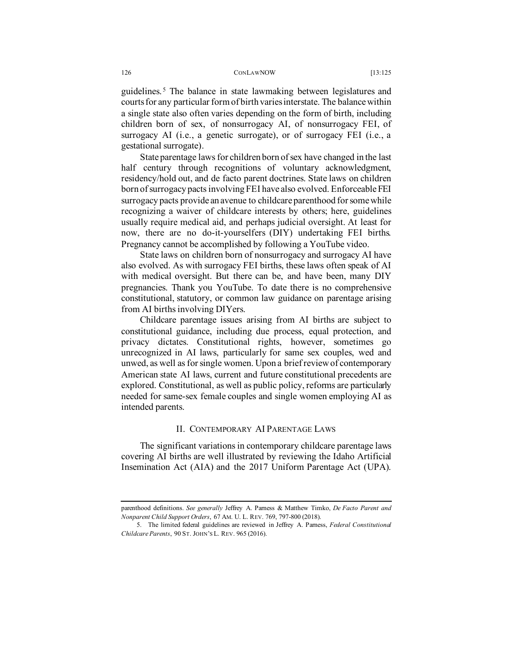guidelines. [5](#page-1-0) The balance in state lawmaking between legislatures and courts for any particular form of birth varies interstate. The balance within a single state also often varies depending on the form of birth, including children born of sex, of nonsurrogacy AI, of nonsurrogacy FEI, of surrogacy AI (i.e., a genetic surrogate), or of surrogacy FEI (i.e., a gestational surrogate).

State parentage laws for children born of sex have changed in the last half century through recognitions of voluntary acknowledgment, residency/hold out, and de facto parent doctrines. State laws on children born of surrogacy pacts involving FEI have also evolved. Enforceable FEI surrogacy pacts provide an avenue to childcare parenthood for some while recognizing a waiver of childcare interests by others; here, guidelines usually require medical aid, and perhaps judicial oversight. At least for now, there are no do-it-yourselfers (DIY) undertaking FEI births. Pregnancy cannot be accomplished by following a YouTube video.

State laws on children born of nonsurrogacy and surrogacy AI have also evolved. As with surrogacy FEI births, these laws often speak of AI with medical oversight. But there can be, and have been, many DIY pregnancies. Thank you YouTube. To date there is no comprehensive constitutional, statutory, or common law guidance on parentage arising from AI births involving DIYers.

Childcare parentage issues arising from AI births are subject to constitutional guidance, including due process, equal protection, and privacy dictates. Constitutional rights, however, sometimes go unrecognized in AI laws, particularly for same sex couples, wed and unwed, as well as for single women. Upon a brief review of contemporary American state AI laws, current and future constitutional precedents are explored. Constitutional, as well as public policy, reforms are particularly needed for same-sex female couples and single women employing AI as intended parents.

# II. CONTEMPORARY AI PARENTAGE LAWS

The significant variations in contemporary childcare parentage laws covering AI births are well illustrated by reviewing the Idaho Artificial Insemination Act (AIA) and the 2017 Uniform Parentage Act (UPA).

parenthood definitions. *See generally* Jeffrey A. Parness & Matthew Timko, *De Facto Parent and Nonparent Child Support Orders*, 67 AM. U. L. REV. 769, 797-800 (2018).

<span id="page-1-0"></span><sup>5.</sup> The limited federal guidelines are reviewed in Jeffrey A. Parness, *Federal Constitutional Childcare Parents*, 90 ST. JOHN'S L. REV. 965 (2016).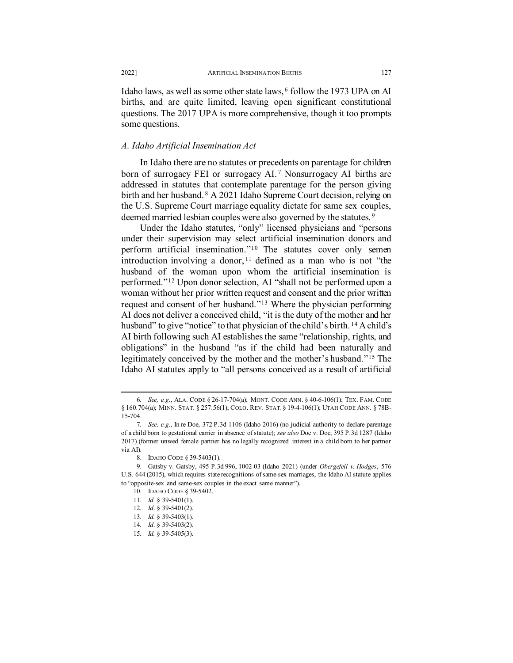Idaho laws, as well as some other state laws, [6](#page-2-0) follow the 1973 UPA on AI births, and are quite limited, leaving open significant constitutional questions. The 2017 UPA is more comprehensive, though it too prompts some questions.

## *A. Idaho Artificial Insemination Act*

In Idaho there are no statutes or precedents on parentage for children born of surrogacy FEI or surrogacy AI.<sup>[7](#page-2-1)</sup> Nonsurrogacy AI births are addressed in statutes that contemplate parentage for the person giving birth and her husband. [8](#page-2-2) A 2021 Idaho Supreme Court decision, relying on the U.S. Supreme Court marriage equality dictate for same sex couples, deemed married lesbian couples were also governed by the statutes.<sup>[9](#page-2-3)</sup>

Under the Idaho statutes, "only" licensed physicians and "persons under their supervision may select artificial insemination donors and perform artificial insemination."[10](#page-2-4) The statutes cover only semen introduction involving a donor,  $11$  defined as a man who is not "the husband of the woman upon whom the artificial insemination is performed."[12](#page-2-6) Upon donor selection, AI "shall not be performed upon a woman without her prior written request and consent and the prior written request and consent of her husband."[13](#page-2-7) Where the physician performing AI does not deliver a conceived child, "it is the duty of the mother and her husband" to give "notice" to that physician of the child's birth. <sup>[14](#page-2-8)</sup> A child's AI birth following such AI establishes the same "relationship, rights, and obligations" in the husband "as if the child had been naturally and legitimately conceived by the mother and the mother's husband."[15](#page-2-9) The Idaho AI statutes apply to "all persons conceived as a result of artificial

<span id="page-2-0"></span><sup>6</sup>*. See, e.g*., ALA. CODE § 26-17-704(a); MONT. CODE ANN. § 40-6-106(1); TEX. FAM. CODE § 160.704(a); MINN. STAT. § 257.56(1); COLO. REV. STAT. § 19-4-106(1); UTAH CODE ANN. § 78B-15-704.

<span id="page-2-1"></span><sup>7</sup>*. See, e.g.,* In re Doe, 372 P.3d 1106 (Idaho 2016) (no judicial authority to declare parentage of a child born to gestational carrier in absence of statute); *see also* Doe v. Doe, 395 P.3d 1287 (Idaho 2017) (former unwed female partner has no legally recognized interest in a child born to her partner via AI).

<sup>8.</sup> IDAHO CODE § 39-5403(1).

<span id="page-2-7"></span><span id="page-2-6"></span><span id="page-2-5"></span><span id="page-2-4"></span><span id="page-2-3"></span><span id="page-2-2"></span><sup>9.</sup> Gatsby v. Gatsby, 495 P.3d 996, 1002-03 (Idaho 2021) (under *Obergefell v. Hodges*, 576 U.S. 644 (2015), which requires state recognitions of same-sex marriages, the Idaho AI statute applies to "opposite-sex and same-sex couples in the exact same manner").

<sup>10.</sup> IDAHO CODE § 39-5402.

<sup>11</sup>*. Id.* § 39-5401(1).

<sup>12</sup>*. Id*. § 39-5401(2).

<sup>13</sup>*. Id.* § 39-5403(1).

<span id="page-2-9"></span><span id="page-2-8"></span><sup>14</sup>*. Id*. § 39-5403(2).

<sup>15</sup>*. Id.* § 39-5405(3).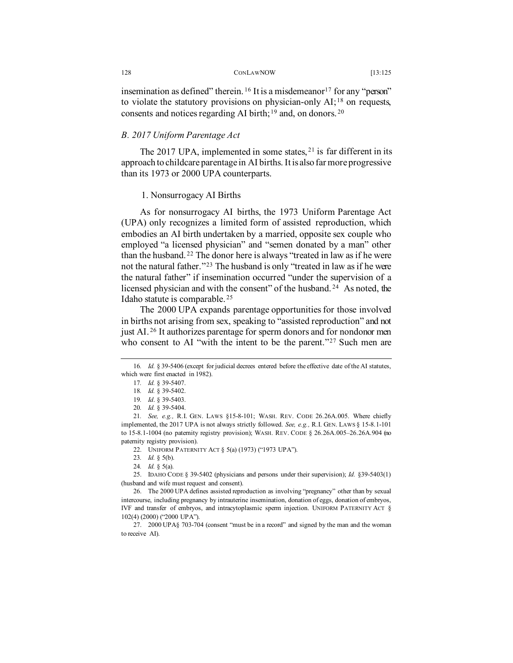insemination as defined" therein. <sup>[16](#page-3-0)</sup> It is a misdemeanor<sup>[17](#page-3-1)</sup> for any "person" to violate the statutory provisions on physician-only  $AI;^{18}$  $AI;^{18}$  $AI;^{18}$  on requests, consents and notices regarding AI birth;<sup>[19](#page-3-3)</sup> and, on donors.<sup>[20](#page-3-4)</sup>

# *B. 2017 Uniform Parentage Act*

The 2017 UPA, implemented in some states,  $21$  is far different in its approach to childcare parentage in AI births. It is also far more progressive than its 1973 or 2000 UPA counterparts.

### 1. Nonsurrogacy AI Births

As for nonsurrogacy AI births, the 1973 Uniform Parentage Act (UPA) only recognizes a limited form of assisted reproduction, which embodies an AI birth undertaken by a married, opposite sex couple who employed "a licensed physician" and "semen donated by a man" other than the husband. [22](#page-3-6) The donor here is always "treated in law as if he were not the natural father."[23](#page-3-7) The husband is only "treated in law as if he were the natural father" if insemination occurred "under the supervision of a licensed physician and with the consent" of the husband. [24](#page-3-8) As noted, the Idaho statute is comparable. [25](#page-3-9)

The 2000 UPA expands parentage opportunities for those involved in births not arising from sex, speaking to "assisted reproduction" and not just AI. [26](#page-3-10) It authorizes parentage for sperm donors and for nondonor men who consent to AI "with the intent to be the parent."<sup>[27](#page-3-11)</sup> Such men are

<span id="page-3-1"></span><span id="page-3-0"></span><sup>16</sup>*. Id.* § 39-5406 (except for judicial decrees entered before the effective date of the AI statutes, which were first enacted in 1982).

<sup>17</sup>*. Id.* § 39-5407.

<sup>18</sup>*. Id.* § 39-5402.

<sup>19</sup>*. Id*. § 39-5403.

<sup>20</sup>*. Id.* § 39-5404.

<span id="page-3-5"></span><span id="page-3-4"></span><span id="page-3-3"></span><span id="page-3-2"></span><sup>21</sup>*. See, e.g.,* R.I. GEN. LAWS §15-8-101; WASH. REV. CODE 26.26A.005. Where chiefly implemented, the 2017 UPA is not always strictly followed. *See, e.g.,* R.I. GEN. LAWS § 15-8.1-101 to 15-8.1-1004 (no paternity registry provision); WASH. REV. CODE § 26.26A.005–26.26A.904 (no paternity registry provision).

<sup>22.</sup> UNIFORM PATERNITY ACT § 5(a) (1973) ("1973 UPA").

<sup>23</sup>*. Id.* § 5(b).

<sup>24</sup>*. Id.* § 5(a).

<span id="page-3-9"></span><span id="page-3-8"></span><span id="page-3-7"></span><span id="page-3-6"></span><sup>25.</sup> IDAHO CODE § 39-5402 (physicians and persons under their supervision); *Id.* §39-5403(1) (husband and wife must request and consent).

<span id="page-3-10"></span><sup>26.</sup> The 2000 UPA defines assisted reproduction as involving "pregnancy" other than by sexual intercourse, including pregnancy by intrauterine insemination, donation of eggs, donation of embryos, IVF and transfer of embryos, and intracytoplasmic sperm injection. UNIFORM PATERNITY ACT § 102(4) (2000) ("2000 UPA").

<span id="page-3-11"></span><sup>27. 2000</sup> UPA§ 703-704 (consent "must be in a record" and signed by the man and the woman to receive AI).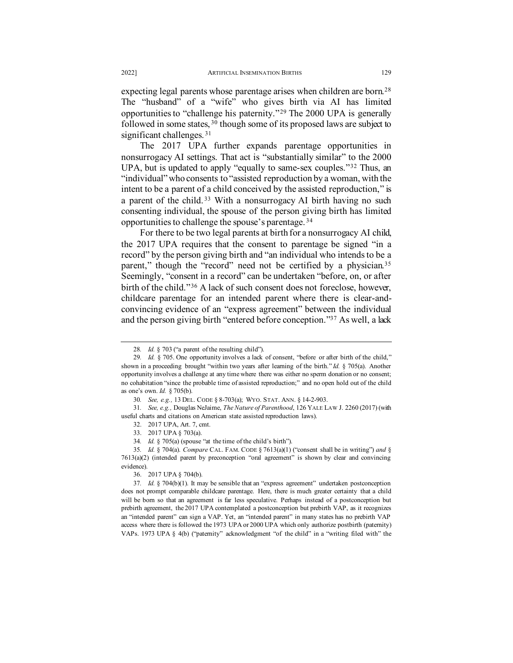expecting legal parents whose parentage arises when children are born.<sup>[28](#page-4-0)</sup> The "husband" of a "wife" who gives birth via AI has limited opportunities to "challenge his paternity."[29](#page-4-1) The 2000 UPA is generally followed in some states, [30](#page-4-2) though some of its proposed laws are subject to significant challenges.<sup>[31](#page-4-3)</sup>

The 2017 UPA further expands parentage opportunities in nonsurrogacy AI settings. That act is "substantially similar" to the 2000 UPA, but is updated to apply "equally to same-sex couples."[32](#page-4-4) Thus, an "individual" who consents to "assisted reproduction by a woman, with the intent to be a parent of a child conceived by the assisted reproduction," is a parent of the child. [33](#page-4-5) With a nonsurrogacy AI birth having no such consenting individual, the spouse of the person giving birth has limited opportunities to challenge the spouse's parentage. [34](#page-4-6) 

For there to be two legal parents at birth for a nonsurrogacy AI child, the 2017 UPA requires that the consent to parentage be signed "in a record" by the person giving birth and "an individual who intends to be a parent," though the "record" need not be certified by a physician.<sup>[35](#page-4-7)</sup> Seemingly, "consent in a record" can be undertaken "before, on, or after birth of the child."<sup>[36](#page-4-8)</sup> A lack of such consent does not foreclose, however, childcare parentage for an intended parent where there is clear-andconvincing evidence of an "express agreement" between the individual and the person giving birth "entered before conception.["37](#page-4-9) As well, a lack

<sup>28</sup>*. Id.* § 703 ("a parent of the resulting child").

<span id="page-4-1"></span><span id="page-4-0"></span><sup>29</sup>*. Id.* § 705. One opportunity involves a lack of consent, "before or after birth of the child," shown in a proceeding brought "within two years after learning of the birth." *Id.* § 705(a). Another opportunity involves a challenge at any time where there was either no sperm donation or no consent; no cohabitation "since the probable time of assisted reproduction;" and no open hold out of the child as one's own. *Id.* § 705(b).

<sup>30</sup>*. See, e.g.,* 13 DEL. CODE § 8-703(a); WYO. STAT. ANN. § 14-2-903.

<span id="page-4-4"></span><span id="page-4-3"></span><span id="page-4-2"></span><sup>31</sup>*. See, e.g.,* Douglas NeJaime, *The Nature of Parenthood*, 126 YALE LAW J. 2260 (2017) (with useful charts and citations on American state assisted reproduction laws).

<sup>32. 2017</sup> UPA, Art. 7, cmt.

<sup>33. 2017</sup> UPA § 703(a).

<sup>34</sup>*. Id.* § 705(a) (spouse "at the time of the child's birth").

<span id="page-4-7"></span><span id="page-4-6"></span><span id="page-4-5"></span><sup>35</sup>*. Id.* § 704(a). *Compare* CAL. FAM. CODE § 7613(a)(1) ("consent shall be in writing") *and* § 7613(a)(2) (intended parent by preconception "oral agreement" is shown by clear and convincing evidence).

<sup>36. 2017</sup> UPA § 704(b).

<span id="page-4-9"></span><span id="page-4-8"></span><sup>37</sup>*. Id.* § 704(b)(1). It may be sensible that an "express agreement" undertaken postconception does not prompt comparable childcare parentage. Here, there is much greater certainty that a child will be born so that an agreement is far less speculative. Perhaps instead of a postconception but prebirth agreement, the 2017 UPA contemplated a postconception but prebirth VAP, as it recognizes an "intended parent" can sign a VAP. Yet, an "intended parent" in many states has no prebirth VAP access where there is followed the 1973 UPA or 2000 UPA which only authorize postbirth (paternity) VAPs. 1973 UPA § 4(b) ("paternity" acknowledgment "of the child" in a "writing filed with" the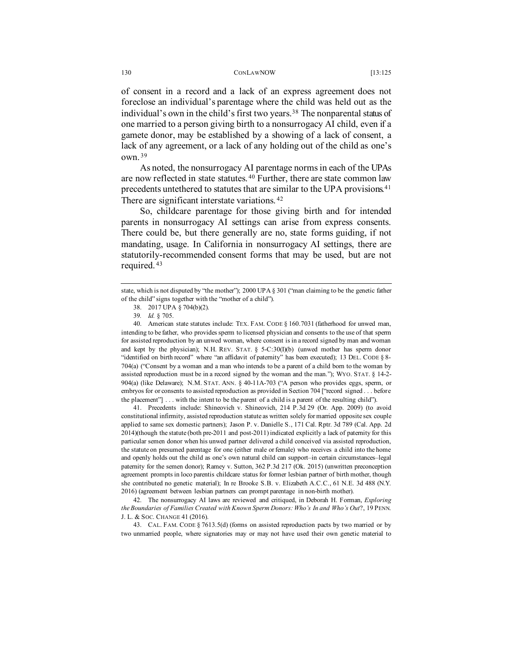of consent in a record and a lack of an express agreement does not foreclose an individual's parentage where the child was held out as the individual's own in the child's first two years.<sup>[38](#page-5-0)</sup> The nonparental status of one married to a person giving birth to a nonsurrogacy AI child, even if a gamete donor, may be established by a showing of a lack of consent, a lack of any agreement, or a lack of any holding out of the child as one's own. [39](#page-5-1)

As noted, the nonsurrogacy AI parentage norms in each of the UPAs are now reflected in state statutes. [40](#page-5-2) Further, there are state common law precedents untethered to statutes that are similar to the UPA provisions.<sup>[41](#page-5-3)</sup> There are significant interstate variations.<sup>[42](#page-5-4)</sup>

So, childcare parentage for those giving birth and for intended parents in nonsurrogacy AI settings can arise from express consents. There could be, but there generally are no, state forms guiding, if not mandating, usage. In California in nonsurrogacy AI settings, there are statutorily-recommended consent forms that may be used, but are not required. [43](#page-5-5)

<span id="page-5-3"></span>41. Precedents include: Shineovich v. Shineovich, 214 P.3d 29 (Or. App. 2009) (to avoid constitutional infirmity, assisted reproduction statute as written solely for married opposite sex couple applied to same sex domestic partners); Jason P. v. Danielle S., 171 Cal. Rptr. 3d 789 (Cal. App. 2d 2014)(though the statute (both pre-2011 and post-2011) indicated explicitly a lack of paternity for this particular semen donor when his unwed partner delivered a child conceived via assisted reproduction, the statute on presumed parentage for one (either male or female) who receives a child into the home and openly holds out the child as one's own natural child can support–in certain circumstances–legal paternity for the semen donor); Ramey v. Sutton, 362 P.3d 217 (Ok. 2015) (unwritten preconception agreement prompts in loco parentis childcare status for former lesbian partner of birth mother, though she contributed no genetic material); In re Brooke S.B. v. Elizabeth A.C.C., 61 N.E. 3d 488 (N.Y. 2016) (agreement between lesbian partners can prompt parentage in non-birth mother).

<span id="page-5-4"></span>42. The nonsurrogacy AI laws are reviewed and critiqued, in Deborah H. Forman, *Exploring the Boundaries of Families Created with Known Sperm Donors: Who's In and Who's Out*?, 19 PENN. J. L. & SOC. CHANGE 41 (2016).

<span id="page-5-5"></span>43. CAL. FAM. CODE § 7613.5(d) (forms on assisted reproduction pacts by two married or by two unmarried people, where signatories may or may not have used their own genetic material to

<span id="page-5-0"></span>state, which is not disputed by "the mother"); 2000 UPA § 301 ("man claiming to be the genetic father of the child" signs together with the "mother of a child").

<sup>38. 2017</sup> UPA § 704(b)(2).

<sup>39</sup>*. Id.* § 705.

<span id="page-5-2"></span><span id="page-5-1"></span><sup>40.</sup> American state statutes include: TEX. FAM. CODE § 160.7031 (fatherhood for unwed man, intending to be father, who provides sperm to licensed physician and consents to the use of that sperm for assisted reproduction by an unwed woman, where consent is in a record signed by man and woman and kept by the physician); N.H. REV. STAT.  $\S$  5-C:30(I)(b) (unwed mother has sperm donor "identified on birth record" where "an affidavit of paternity" has been executed); 13 DEL. CODE § 8-704(a) ("Consent by a woman and a man who intends to be a parent of a child born to the woman by assisted reproduction must be in a record signed by the woman and the man."); WYO. STAT. § 14-2- 904(a) (like Delaware); N.M. STAT. ANN. § 40-11A-703 ("A person who provides eggs, sperm, or embryos for or consents to assisted reproduction as provided in Section 704 ["record signed . . . before the placement"] . . . with the intent to be the parent of a child is a parent of the resulting child").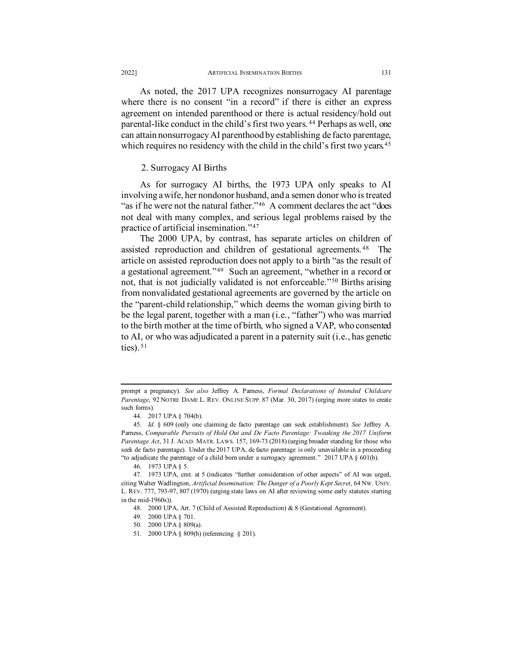As noted, the 2017 UPA recognizes nonsurrogacy AI parentage where there is no consent "in a record" if there is either an express agreement on intended parenthood or there is actual residency/hold out parental-like conduct in the child's first two years. [44](#page-6-0) Perhaps as well, one can attain nonsurrogacy AI parenthood by establishing de facto parentage, which requires no residency with the child in the child's first two years.<sup>[45](#page-6-1)</sup>

# 2. Surrogacy AI Births

As for surrogacy AI births, the 1973 UPA only speaks to AI involving a wife, her nondonor husband, and a semen donor who is treated "as if he were not the natural father."<sup>46</sup> A comment declares the act "does" not deal with many complex, and serious legal problems raised by the practice of artificial insemination."[47](#page-6-3) 

The 2000 UPA, by contrast, has separate articles on children of assisted reproduction and children of gestational agreements. [48](#page-6-4) The article on assisted reproduction does not apply to a birth "as the result of a gestational agreement."[49](#page-6-5) Such an agreement, "whether in a record or not, that is not judicially validated is not enforceable."[50](#page-6-6) Births arising from nonvalidated gestational agreements are governed by the article on the "parent-child relationship," which deems the woman giving birth to be the legal parent, together with a man (i.e., "father") who was married to the birth mother at the time of birth, who signed a VAP, who consented to AI, or who was adjudicated a parent in a paternity suit (i.e., has genetic ties).  $51$ 

50. 2000 UPA § 809(a).

prompt a pregnancy). *See also* Jeffrey A. Parness, *Formal Declarations of Intended Childcare Parentage*, 92 NOTRE DAME L. REV. ONLINE SUPP. 87 (Mar. 30, 2017) (urging more states to create such forms).

<sup>44. 2017</sup> UPA § 704(b).

<span id="page-6-1"></span><span id="page-6-0"></span><sup>45</sup>*. Id.* § 609 (only one claiming de facto parentage can seek establishment). *See* Jeffrey A. Parness, *Comparable Pursuits of Hold Out and De Facto Parentage: Tweaking the 2017 Uniform Parentage Act*, 31 J. ACAD. MATR. LAWS. 157, 169-73 (2018) (urging broader standing for those who seek de facto parentage). Under the 2017 UPA, de facto parentage is only unavailable in a proceeding "to adjudicate the parentage of a child born under a surrogacy agreement." 2017 UPA § 601(b).

<sup>46.</sup> 1973 UPA § 5.

<span id="page-6-6"></span><span id="page-6-5"></span><span id="page-6-4"></span><span id="page-6-3"></span><span id="page-6-2"></span><sup>47.</sup> 1973 UPA, cmt. at 5 (indicates "further consideration of other aspects" of AI was urged, citing Walter Wadlington, *Artificial Insemination: The Danger of a Poorly Kept Secret*, 64 NW. UNIV. L. REV. 777, 793-97, 807 (1970) (urging state laws on AI after reviewing some early statutes starting in the mid-1960s)).

<sup>48.</sup> 2000 UPA, Art. 7 (Child of Assisted Reproduction) & 8 (Gestational Agreement).

<sup>49.</sup> 2000 UPA § 701.

<span id="page-6-7"></span><sup>51.</sup> 2000 UPA § 809(b) (referencing § 201).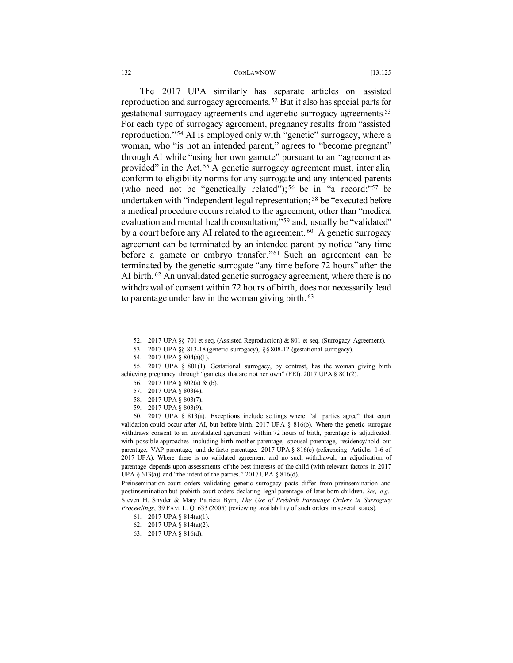#### 132 CONLAWNOW [13:125

The 2017 UPA similarly has separate articles on assisted reproduction and surrogacy agreements. [52](#page-7-0) But it also has special parts for gestational surrogacy agreements and agenetic surrogacy agreements.[53](#page-7-1) For each type of surrogacy agreement, pregnancy results from "assisted reproduction."[54](#page-7-2) AI is employed only with "genetic" surrogacy, where a woman, who "is not an intended parent," agrees to "become pregnant" through AI while "using her own gamete" pursuant to an "agreement as provided" in the Act.<sup>[55](#page-7-3)</sup> A genetic surrogacy agreement must, inter alia, conform to eligibility norms for any surrogate and any intended parents (who need not be "genetically related");<sup>[56](#page-7-4)</sup> be in "a record;"<sup>57</sup> be undertaken with "independent legal representation; [58](#page-7-6) be "executed before a medical procedure occurs related to the agreement, other than "medical evaluation and mental health consultation;"<sup>[59](#page-7-7)</sup> and, usually be "validated" by a court before any AI related to the agreement.  $60$  A genetic surrogacy agreement can be terminated by an intended parent by notice "any time before a gamete or embryo transfer."[61](#page-7-9) Such an agreement can be terminated by the genetic surrogate "any time before 72 hours" after the AI birth.<sup>[62](#page-7-10)</sup> An unvalidated genetic surrogacy agreement, where there is no withdrawal of consent within 72 hours of birth, does not necessarily lead to parentage under law in the woman giving birth. [63](#page-7-11)

<span id="page-7-11"></span><span id="page-7-10"></span><span id="page-7-9"></span>Preinsemination court orders validating genetic surrogacy pacts differ from preinsemination and postinsemination but prebirth court orders declaring legal parentage of later born children. *See, e.g.,* Steven H. Snyder & Mary Patricia Byrn, *The Use of Prebirth Parentage Orders in Surrogacy Proceedings*, 39 FAM. L. Q. 633 (2005) (reviewing availability of such orders in several states).

- 61. 2017 UPA § 814(a)(1).
- 62. 2017 UPA § 814(a)(2).
- 63. 2017 UPA § 816(d).

<sup>52.</sup> 2017 UPA §§ 701 et seq. (Assisted Reproduction) & 801 et seq. (Surrogacy Agreement).

<sup>53.</sup> 2017 UPA §§ 813-18 (genetic surrogacy), §§ 808-12 (gestational surrogacy).

<sup>54.</sup> 2017 UPA § 804(a)(1).

<span id="page-7-4"></span><span id="page-7-3"></span><span id="page-7-2"></span><span id="page-7-1"></span><span id="page-7-0"></span><sup>55.</sup> 2017 UPA § 801(1). Gestational surrogacy, by contrast, has the woman giving birth achieving pregnancy through "gametes that are not her own" (FEI). 2017 UPA § 801(2).

<sup>56.</sup> 2017 UPA § 802(a) & (b).

<sup>57.</sup> 2017 UPA § 803(4).

<sup>58.</sup> 2017 UPA § 803(7).

<sup>59.</sup> 2017 UPA § 803(9).

<span id="page-7-8"></span><span id="page-7-7"></span><span id="page-7-6"></span><span id="page-7-5"></span><sup>60.</sup> 2017 UPA § 813(a). Exceptions include settings where "all parties agree" that court validation could occur after AI, but before birth. 2017 UPA § 816(b). Where the genetic surrogate withdraws consent to an unvalidated agreement within 72 hours of birth, parentage is adjudicated, with possible approaches including birth mother parentage, spousal parentage, residency/hold out parentage, VAP parentage, and de facto parentage. 2017 UPA § 816(c) (referencing Articles 1-6 of 2017 UPA). Where there is no validated agreement and no such withdrawal, an adjudication of parentage depends upon assessments of the best interests of the child (with relevant factors in 2017 UPA  $\S$  613(a)) and "the intent of the parties." 2017 UPA  $\S$  816(d).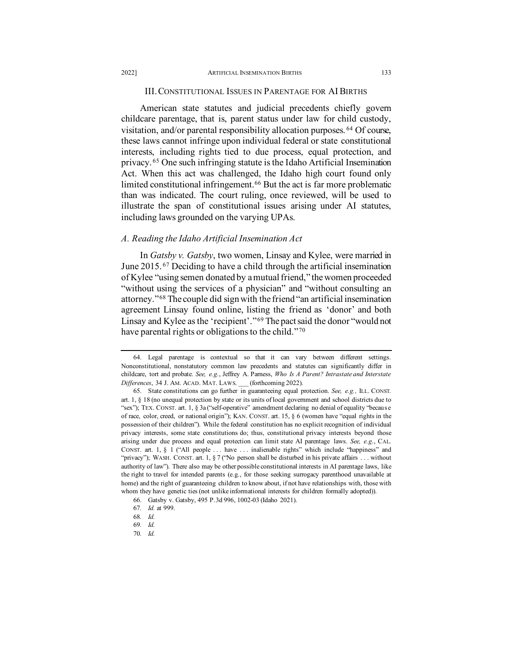## III. CONSTITUTIONAL ISSUES IN PARENTAGE FOR AI BIRTHS

American state statutes and judicial precedents chiefly govern childcare parentage, that is, parent status under law for child custody, visitation, and/or parental responsibility allocation purposes. [64](#page-8-0) Of course, these laws cannot infringe upon individual federal or state constitutional interests, including rights tied to due process, equal protection, and privacy. [65](#page-8-1) One such infringing statute is the Idaho Artificial Insemination Act. When this act was challenged, the Idaho high court found only limited constitutional infringement.<sup>[66](#page-8-2)</sup> But the act is far more problematic than was indicated. The court ruling, once reviewed, will be used to illustrate the span of constitutional issues arising under AI statutes, including laws grounded on the varying UPAs.

## *A. Reading the Idaho Artificial Insemination Act*

In *Gatsby v. Gatsby*, two women, Linsay and Kylee, were married in June 2015. [67](#page-8-3) Deciding to have a child through the artificial insemination of Kylee "using semen donated by a mutual friend," the women proceeded "without using the services of a physician" and "without consulting an attorney."[68](#page-8-4) The couple did sign with the friend "an artificial insemination agreement Linsay found online, listing the friend as 'donor' and both Linsay and Kylee as the 'recipient'."[69](#page-8-5) The pact said the donor "would not have parental rights or obligations to the child."[70](#page-8-6)

<span id="page-8-0"></span><sup>64.</sup> Legal parentage is contextual so that it can vary between different settings. Nonconstitutional, nonstatutory common law precedents and statutes can significantly differ in childcare, tort and probate. *See, e.g*., Jeffrey A. Parness, *Who Is A Parent? Intrastate and Interstate Differences*, 34 J. AM. ACAD. MAT. LAWS. \_\_\_ (forthcoming 2022).

<span id="page-8-1"></span><sup>65.</sup> State constitutions can go further in guaranteeing equal protection. *See, e.g.,* ILL. CONST. art. 1, § 18 (no unequal protection by state or its units of local government and school districts due to "sex"); TEX. CONST. art. 1, § 3a ("self-operative" amendment declaring no denial of equality "because of race, color, creed, or national origin"); KAN. CONST. art. 15, § 6 (women have "equal rights in the possession of their children"). While the federal constitution has no explicit recognition of individual privacy interests, some state constitutions do; thus, constitutional privacy interests beyond those arising under due process and equal protection can limit state AI parentage laws. *See, e.g*., CAL. CONST. art. 1, § 1 ("All people . . . have . . . inalienable rights" which include "happiness" and "privacy"); WASH. CONST. art. 1,  $\S 7$  ("No person shall be disturbed in his private affairs ... without authority of law"). There also may be other possible constitutional interests in AI parentage laws, like the right to travel for intended parents (e.g., for those seeking surrogacy parenthood unavailable at home) and the right of guaranteeing children to know about, if not have relationships with, those with whom they have genetic ties (not unlike informational interests for children formally adopted)).

<sup>66.</sup> Gatsby v. Gatsby, 495 P.3d 996, 1002-03 (Idaho 2021).

<span id="page-8-4"></span><span id="page-8-3"></span><span id="page-8-2"></span><sup>67</sup>*. Id.* at 999.

<sup>68</sup>*. Id.*

<span id="page-8-5"></span><sup>69</sup>*. Id.*

<span id="page-8-6"></span><sup>70</sup>*. Id.*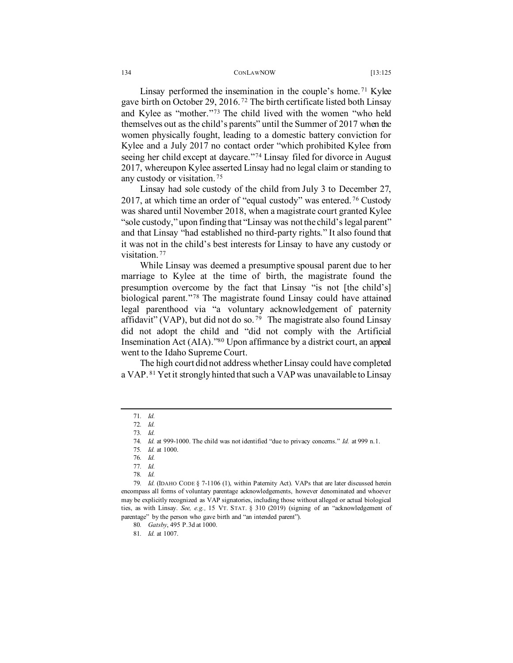Linsay performed the insemination in the couple's home.<sup>[71](#page-9-0)</sup> Kylee gave birth on October 29, 2016. [72](#page-9-1) The birth certificate listed both Linsay and Kylee as "mother."[73](#page-9-2) The child lived with the women "who held themselves out as the child's parents" until the Summer of 2017 when the women physically fought, leading to a domestic battery conviction for Kylee and a July 2017 no contact order "which prohibited Kylee from seeing her child except at daycare."[74](#page-9-3) Linsay filed for divorce in August 2017, whereupon Kylee asserted Linsay had no legal claim or standing to any custody or visitation. [75](#page-9-4)

Linsay had sole custody of the child from July 3 to December 27, 2017, at which time an order of "equal custody" was entered. [76](#page-9-5) Custody was shared until November 2018, when a magistrate court granted Kylee "sole custody," upon finding that "Linsay was not the child's legal parent" and that Linsay "had established no third-party rights." It also found that it was not in the child's best interests for Linsay to have any custody or visitation.<sup>[77](#page-9-6)</sup>

While Linsay was deemed a presumptive spousal parent due to her marriage to Kylee at the time of birth, the magistrate found the presumption overcome by the fact that Linsay "is not [the child's] biological parent."<sup>[78](#page-9-7)</sup> The magistrate found Linsay could have attained legal parenthood via "a voluntary acknowledgement of paternity affidavit" (VAP), but did not do so.<sup>79</sup> The magistrate also found Linsay did not adopt the child and "did not comply with the Artificial Insemination Act (AIA).["80](#page-9-9) Upon affirmance by a district court, an appeal went to the Idaho Supreme Court.

The high court did not address whether Linsay could have completed a VAP. [81](#page-9-10) Yet it strongly hinted that such a VAP was unavailable to Linsay

<span id="page-9-1"></span><span id="page-9-0"></span><sup>71</sup>*. Id.*

<sup>72</sup>*. Id.*

<sup>73</sup>*. Id.*

<sup>74</sup>*. Id.* at 999-1000. The child was not identified "due to privacy concerns." *Id.* at 999 n.1.

<sup>75</sup>*. Id.* at 1000.

<sup>76</sup>*. Id.*

<sup>77</sup>*. Id.*

<sup>78</sup>*. Id.*

<span id="page-9-10"></span><span id="page-9-9"></span><span id="page-9-8"></span><span id="page-9-7"></span><span id="page-9-6"></span><span id="page-9-5"></span><span id="page-9-4"></span><span id="page-9-3"></span><span id="page-9-2"></span><sup>79</sup>*. Id.* (IDAHO CODE § 7-1106 (1), within Paternity Act). VAPs that are later discussed herein encompass all forms of voluntary parentage acknowledgements, however denominated and whoever may be explicitly recognized as VAP signatories, including those without alleged or actual biological ties, as with Linsay. *See, e.g.,* 15 VT. STAT. § 310 (2019) (signing of an "acknowledgement of parentage" by the person who gave birth and "an intended parent").

<sup>80</sup>*. Gatsby*, 495 P.3d at 1000.

<sup>81</sup>*. Id.* at 1007.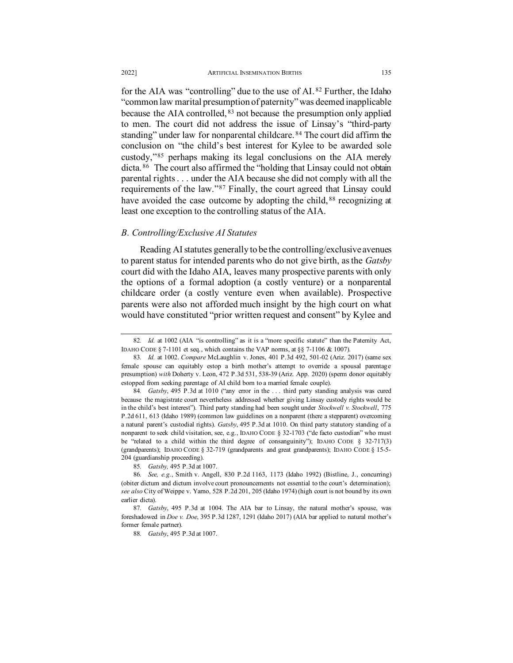for the AIA was "controlling" due to the use of AI. [82](#page-10-0) Further, the Idaho "common law marital presumption of paternity" was deemed inapplicable because the AIA controlled, <sup>[83](#page-10-1)</sup> not because the presumption only applied to men. The court did not address the issue of Linsay's "third-party standing" under law for nonparental childcare.<sup>[84](#page-10-2)</sup> The court did affirm the conclusion on "the child's best interest for Kylee to be awarded sole custody,"[85](#page-10-3) perhaps making its legal conclusions on the AIA merely dicta. [86](#page-10-4) The court also affirmed the "holding that Linsay could not obtain parental rights . . . under the AIA because she did not comply with all the requirements of the law."[87](#page-10-5) Finally, the court agreed that Linsay could have avoided the case outcome by adopting the child, <sup>[88](#page-10-6)</sup> recognizing at least one exception to the controlling status of the AIA.

## *B. Controlling/Exclusive AI Statutes*

Reading AI statutes generally to be the controlling/exclusive avenues to parent status for intended parents who do not give birth, as the *Gatsby* court did with the Idaho AIA, leaves many prospective parents with only the options of a formal adoption (a costly venture) or a nonparental childcare order (a costly venture even when available). Prospective parents were also not afforded much insight by the high court on what would have constituted "prior written request and consent" by Kylee and

<span id="page-10-0"></span><sup>82.</sup> *Id.* at 1002 (AIA "is controlling" as it is a "more specific statute" than the Paternity Act, IDAHO CODE § 7-1101 et seq., which contains the VAP norms, at §§ 7-1106 & 1007).

<span id="page-10-1"></span><sup>83</sup>*. Id.* at 1002. *Compare* McLaughlin v. Jones, 401 P.3d 492, 501-02 (Ariz. 2017) (same sex female spouse can equitably estop a birth mother's attempt to override a spousal parentage presumption) *with* Doherty v. Leon, 472 P.3d 531, 538-39 (Ariz. App. 2020) (sperm donor equitably estopped from seeking parentage of AI child born to a married female couple).

<span id="page-10-2"></span><sup>84</sup>*. Gatsby*, 495 P.3d at 1010 ("any error in the . . . third party standing analysis was cured because the magistrate court nevertheless addressed whether giving Linsay custody rights would be in the child's best interest"). Third party standing had been sought under *Stockwell v. Stockwell*, 775 P.2d 611, 613 (Idaho 1989) (common law guidelines on a nonparent (there a stepparent) overcoming a natural parent's custodial rights). *Gatsby*, 495 P.3d at 1010. On third party statutory standing of a nonparent to seek child visitation, see, e.g., IDAHO CODE § 32-1703 ("de facto custodian" who must be "related to a child within the third degree of consanguinity"); IDAHO CODE § 32-717(3) (grandparents); IDAHO CODE § 32-719 (grandparents and great grandparents); IDAHO CODE § 15-5- 204 (guardianship proceeding).

<sup>85</sup>*. Gatsby,* 495 P.3d at 1007.

<span id="page-10-4"></span><span id="page-10-3"></span><sup>86</sup>*. See, e.g*., Smith v. Angell, 830 P.2d 1163, 1173 (Idaho 1992) (Bistline, J., concurring) (obiter dictum and dictum involve court pronouncements not essential to the court's determination); *see also* City of Weippe v. Yarno, 528 P.2d 201, 205 (Idaho 1974) (high court is not bound by its own earlier dicta).

<span id="page-10-6"></span><span id="page-10-5"></span><sup>87</sup>*. Gatsby*, 495 P.3d at 1004. The AIA bar to Linsay, the natural mother's spouse, was foreshadowed in *Doe v. Doe*, 395 P.3d 1287, 1291 (Idaho 2017) (AIA bar applied to natural mother's former female partner).

<sup>88</sup>*. Gatsby*, 495 P.3d at 1007.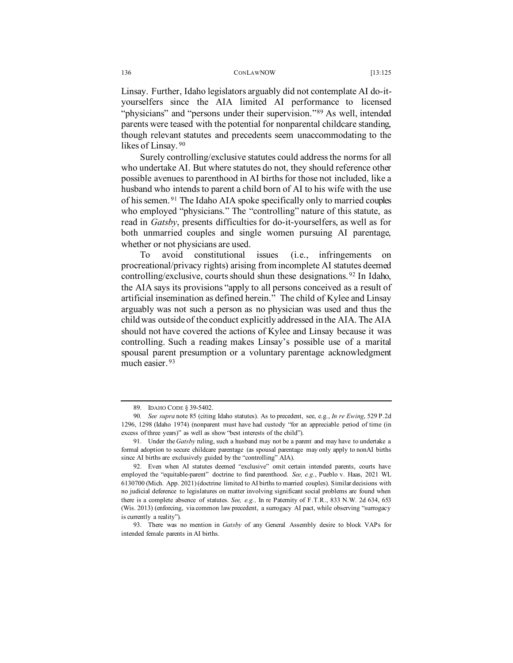#### 136 CONLAWNOW [13:125

Linsay. Further, Idaho legislators arguably did not contemplate AI do-ityourselfers since the AIA limited AI performance to licensed "physicians" and "persons under their supervision."<sup>[89](#page-11-0)</sup> As well, intended parents were teased with the potential for nonparental childcare standing, though relevant statutes and precedents seem unaccommodating to the likes of Linsay.<sup>90</sup>

Surely controlling/exclusive statutes could address the norms for all who undertake AI. But where statutes do not, they should reference other possible avenues to parenthood in AI births for those not included, like a husband who intends to parent a child born of AI to his wife with the use of his semen. [91](#page-11-2) The Idaho AIA spoke specifically only to married couples who employed "physicians." The "controlling" nature of this statute, as read in *Gatsby*, presents difficulties for do-it-yourselfers, as well as for both unmarried couples and single women pursuing AI parentage, whether or not physicians are used.

To avoid constitutional issues (i.e., infringements on procreational/privacy rights) arising from incomplete AI statutes deemed controlling/exclusive, courts should shun these designations. [92](#page-11-3) In Idaho, the AIA says its provisions "apply to all persons conceived as a result of artificial insemination as defined herein." The child of Kylee and Linsay arguably was not such a person as no physician was used and thus the child was outside of the conduct explicitly addressed in the AIA. The AIA should not have covered the actions of Kylee and Linsay because it was controlling. Such a reading makes Linsay's possible use of a marital spousal parent presumption or a voluntary parentage acknowledgment much easier. [93](#page-11-4)

<sup>89.</sup> IDAHO CODE § 39-5402.

<span id="page-11-1"></span><span id="page-11-0"></span><sup>90</sup>*. See supra* note 85 (citing Idaho statutes). As to precedent, see, e.g., *In re Ewing*, 529 P.2d 1296, 1298 (Idaho 1974) (nonparent must have had custody "for an appreciable period of time (in excess of three years)" as well as show "best interests of the child").

<span id="page-11-2"></span><sup>91.</sup> Under the *Gatsby* ruling, such a husband may not be a parent and may have to undertake a formal adoption to secure childcare parentage (as spousal parentage may only apply to nonAI births since AI births are exclusively guided by the "controlling" AIA).

<span id="page-11-3"></span><sup>92.</sup> Even when AI statutes deemed "exclusive" omit certain intended parents, courts have employed the "equitable-parent" doctrine to find parenthood. *See, e.g*., Pueblo v. Haas, 2021 WL 6130700 (Mich. App. 2021) (doctrine limited to AI births to married couples). Similar decisions with no judicial deference to legislatures on matter involving significant social problems are found when there is a complete absence of statutes. *See, e.g.,* In re Paternity of F.T.R., 833 N.W. 2d 634, 653 (Wis. 2013) (enforcing, via common law precedent, a surrogacy AI pact, while observing "surrogacy is currently a reality").

<span id="page-11-4"></span><sup>93.</sup> There was no mention in *Gatsby* of any General Assembly desire to block VAPs for intended female parents in AI births.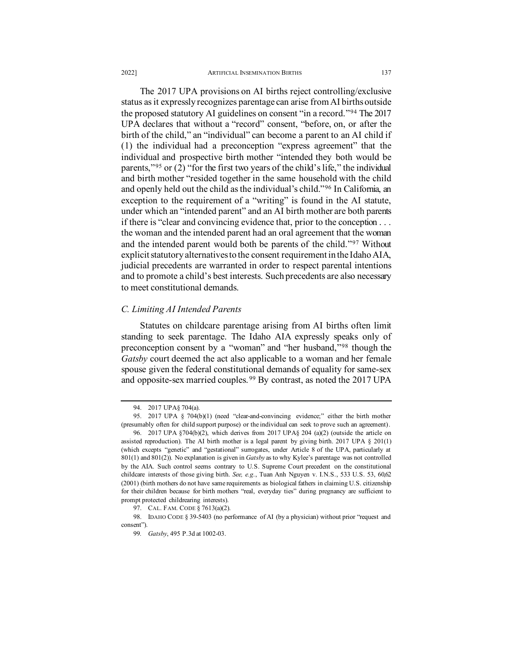The 2017 UPA provisions on AI births reject controlling/exclusive status as it expressly recognizes parentage can arise from AI births outside the proposed statutory AI guidelines on consent "in a record."[94](#page-12-0) The 2017 UPA declares that without a "record" consent, "before, on, or after the birth of the child," an "individual" can become a parent to an AI child if (1) the individual had a preconception "express agreement" that the individual and prospective birth mother "intended they both would be parents,"[95](#page-12-1) or (2) "for the first two years of the child's life," the individual and birth mother "resided together in the same household with the child and openly held out the child as the individual's child."[96](#page-12-2) In California, an exception to the requirement of a "writing" is found in the AI statute, under which an "intended parent" and an AI birth mother are both parents if there is "clear and convincing evidence that, prior to the conception . . . the woman and the intended parent had an oral agreement that the woman and the intended parent would both be parents of the child."[97](#page-12-3) Without explicit statutory alternatives to the consent requirement in the Idaho AIA, judicial precedents are warranted in order to respect parental intentions and to promote a child's best interests. Such precedents are also necessary to meet constitutional demands.

## *C. Limiting AI Intended Parents*

Statutes on childcare parentage arising from AI births often limit standing to seek parentage. The Idaho AIA expressly speaks only of preconception consent by a "woman" and "her husband,"[98](#page-12-4) though the *Gatsby* court deemed the act also applicable to a woman and her female spouse given the federal constitutional demands of equality for same-sex and opposite-sex married couples. [99](#page-12-5) By contrast, as noted the 2017 UPA

<sup>94.</sup> 2017 UPA§ 704(a).

<span id="page-12-1"></span><span id="page-12-0"></span><sup>95.</sup> 2017 UPA § 704(b)(1) (need "clear-and-convincing evidence;" either the birth mother (presumably often for child support purpose) or the individual can seek to prove such an agreement).

<span id="page-12-2"></span><sup>96.</sup> 2017 UPA §704(b)(2), which derives from 2017 UPA§ 204 (a)(2) (outside the article on assisted reproduction). The AI birth mother is a legal parent by giving birth. 2017 UPA § 201(1) (which excepts "genetic" and "gestational" surrogates, under Article 8 of the UPA, particularly at 801(1) and 801(2)). No explanation is given in *Gatsby* as to why Kylee's parentage was not controlled by the AIA. Such control seems contrary to U.S. Supreme Court precedent on the constitutional childcare interests of those giving birth. *See, e.g*., Tuan Anh Nguyen v. I.N.S., 533 U.S. 53, 60,62 (2001) (birth mothers do not have same requirements as biological fathers in claiming U.S. citizenship for their children because for birth mothers "real, everyday ties" during pregnancy are sufficient to prompt protected childrearing interests).

<sup>97.</sup> CAL. FAM. CODE § 7613(a)(2).

<span id="page-12-5"></span><span id="page-12-4"></span><span id="page-12-3"></span><sup>98.</sup> IDAHO CODE § 39-5403 (no performance of AI (by a physician) without prior "request and consent").

<sup>99</sup>*. Gatsby*, 495 P.3d at 1002-03.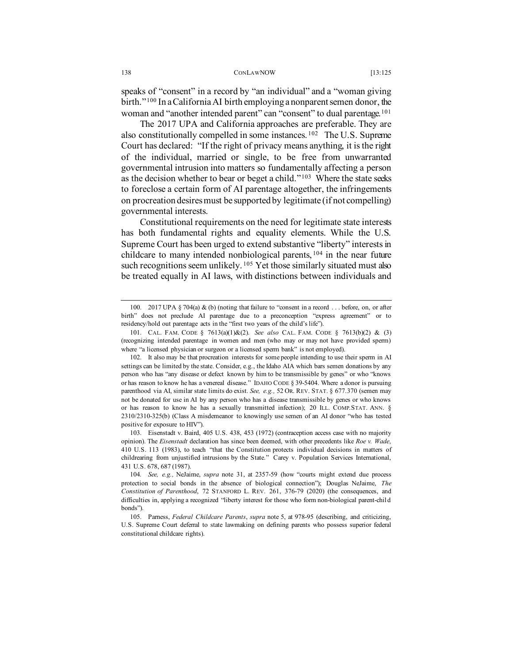speaks of "consent" in a record by "an individual" and a "woman giving birth."[100](#page-13-0) In a California AI birth employing a nonparent semen donor, the woman and "another intended parent" can "consent" to dual parentage.<sup>[101](#page-13-1)</sup>

The 2017 UPA and California approaches are preferable. They are also constitutionally compelled in some instances. [102](#page-13-2) The U.S. Supreme Court has declared: "If the right of privacy means anything, it is the right of the individual, married or single, to be free from unwarranted governmental intrusion into matters so fundamentally affecting a person as the decision whether to bear or beget a child."<sup>[103](#page-13-3)</sup> Where the state seeks to foreclose a certain form of AI parentage altogether, the infringements on procreation desires must be supported by legitimate (if not compelling) governmental interests.

Constitutional requirements on the need for legitimate state interests has both fundamental rights and equality elements. While the U.S. Supreme Court has been urged to extend substantive "liberty" interests in childcare to many intended nonbiological parents, [104](#page-13-4) in the near future such recognitions seem unlikely.<sup>[105](#page-13-5)</sup> Yet those similarly situated must also be treated equally in AI laws, with distinctions between individuals and

<span id="page-13-0"></span><sup>100.</sup> 2017 UPA § 704(a) & (b) (noting that failure to "consent in a record . . . before, on, or after birth" does not preclude AI parentage due to a preconception "express agreement" or to residency/hold out parentage acts in the "first two years of the child's life").

<span id="page-13-1"></span><sup>101.</sup> CAL. FAM. CODE § 7613(a)(1)&(2). *See also* CAL. FAM. CODE § 7613(b)(2) & (3) (recognizing intended parentage in women and men (who may or may not have provided sperm) where "a licensed physician or surgeon or a licensed sperm bank" is not employed).

<span id="page-13-2"></span><sup>102.</sup> It also may be that procreation interests for some people intending to use their sperm in AI settings can be limited by the state. Consider, e.g., the Idaho AIA which bars semen donations by any person who has "any disease or defect known by him to be transmissible by genes" or who "knows or has reason to know he has a venereal disease." IDAHO CODE § 39-5404. Where a donor is pursuing parenthood via AI, similar state limits do exist. *See, e.g.,* 52 OR. REV. STAT. § 677.370 (semen may not be donated for use in AI by any person who has a disease transmissible by genes or who knows or has reason to know he has a sexually transmitted infection); 20 ILL. COMP.STAT. ANN. § 2310/2310-325(b) (Class A misdemeanor to knowingly use semen of an AI donor "who has tested positive for exposure to HIV").

<span id="page-13-3"></span><sup>103.</sup> Eisenstadt v. Baird, 405 U.S. 438, 453 (1972) (contraception access case with no majority opinion). The *Eisenstadt* declaration has since been deemed, with other precedents like *Roe v. Wade*, 410 U.S. 113 (1983), to teach "that the Constitution protects individual decisions in matters of childrearing from unjustified intrusions by the State." Carey v. Population Services International, 431 U.S. 678, 687 (1987).

<span id="page-13-4"></span><sup>104</sup>*. See, e.g.,* NeJaime, *supra* note 31, at 2357-59 (how "courts might extend due process protection to social bonds in the absence of biological connection"); Douglas NeJaime, *The Constitution of Parenthood*, 72 STANFORD L. REV. 261, 376-79 (2020) (the consequences, and difficulties in, applying a recognized "liberty interest for those who form non-biological parent-child bonds").

<span id="page-13-5"></span><sup>105.</sup> Parness, *Federal Childcare Parents*, *supra* note 5, at 978-95 (describing, and criticizing, U.S. Supreme Court deferral to state lawmaking on defining parents who possess superior federal constitutional childcare rights).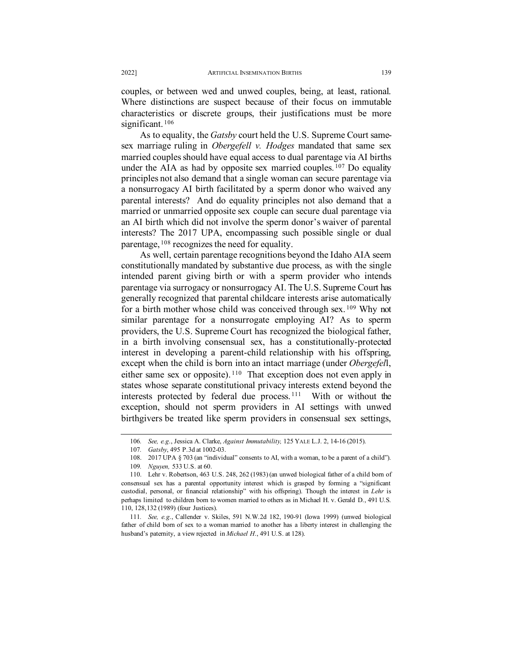couples, or between wed and unwed couples, being, at least, rational. Where distinctions are suspect because of their focus on immutable characteristics or discrete groups, their justifications must be more significant.<sup>[106](#page-14-0)</sup>

As to equality, the *Gatsby* court held the U.S. Supreme Court samesex marriage ruling in *Obergefell v. Hodges* mandated that same sex married couples should have equal access to dual parentage via AI births under the AIA as had by opposite sex married couples.<sup>[107](#page-14-1)</sup> Do equality principles not also demand that a single woman can secure parentage via a nonsurrogacy AI birth facilitated by a sperm donor who waived any parental interests? And do equality principles not also demand that a married or unmarried opposite sex couple can secure dual parentage via an AI birth which did not involve the sperm donor's waiver of parental interests? The 2017 UPA, encompassing such possible single or dual parentage, [108](#page-14-2) recognizes the need for equality.

As well, certain parentage recognitions beyond the Idaho AIA seem constitutionally mandated by substantive due process, as with the single intended parent giving birth or with a sperm provider who intends parentage via surrogacy or nonsurrogacy AI. The U.S. Supreme Court has generally recognized that parental childcare interests arise automatically for a birth mother whose child was conceived through sex. [109](#page-14-3) Why not similar parentage for a nonsurrogate employing AI? As to sperm providers, the U.S. Supreme Court has recognized the biological father, in a birth involving consensual sex, has a constitutionally-protected interest in developing a parent-child relationship with his offspring, except when the child is born into an intact marriage (under *Obergefel*l, either same sex or opposite). [110](#page-14-4) That exception does not even apply in states whose separate constitutional privacy interests extend beyond the interests protected by federal due process. [111](#page-14-5) With or without the exception, should not sperm providers in AI settings with unwed birthgivers be treated like sperm providers in consensual sex settings,

<sup>106</sup>*. See, e.g*., Jessica A. Clarke, *Against Immutability,* 125 YALE L.J. 2, 14-16 (2015).

<sup>107</sup>*. Gatsby*, 495 P.3d at 1002-03.

<sup>108.</sup> 2017 UPA § 703 (an "individual" consents to AI, with a woman, to be a parent of a child").

<sup>109</sup>*. Nguyen,* 533 U.S. at 60.

<span id="page-14-4"></span><span id="page-14-3"></span><span id="page-14-2"></span><span id="page-14-1"></span><span id="page-14-0"></span><sup>110.</sup> Lehr v. Robertson, 463 U.S. 248, 262 (1983) (an unwed biological father of a child born of consensual sex has a parental opportunity interest which is grasped by forming a "significant custodial, personal, or financial relationship" with his offspring). Though the interest in *Lehr* is perhaps limited to children born to women married to others as in Michael H. v. Gerald D., 491 U.S. 110, 128,132 (1989) (four Justices).

<span id="page-14-5"></span><sup>111</sup>*. See, e.g*., Callender v. Skiles, 591 N.W.2d 182, 190-91 (Iowa 1999) (unwed biological father of child born of sex to a woman married to another has a liberty interest in challenging the husband's paternity, a view rejected in *Michael H*., 491 U.S. at 128).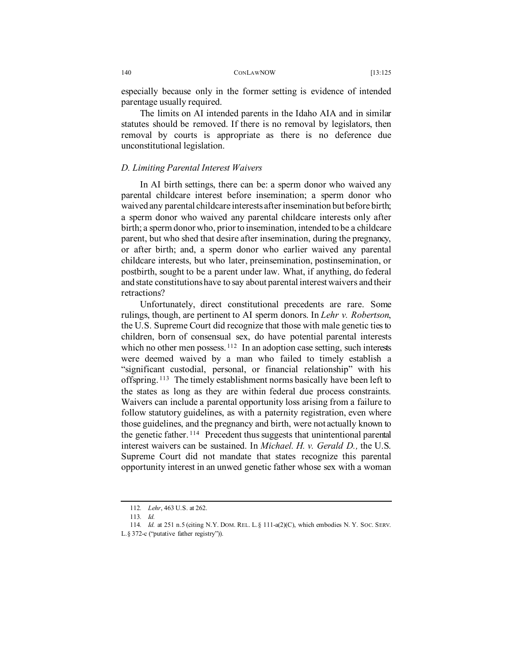especially because only in the former setting is evidence of intended parentage usually required.

The limits on AI intended parents in the Idaho AIA and in similar statutes should be removed. If there is no removal by legislators, then removal by courts is appropriate as there is no deference due unconstitutional legislation.

## *D. Limiting Parental Interest Waivers*

In AI birth settings, there can be: a sperm donor who waived any parental childcare interest before insemination; a sperm donor who waived any parental childcare interests after insemination but before birth; a sperm donor who waived any parental childcare interests only after birth; a sperm donor who, prior to insemination, intended to be a childcare parent, but who shed that desire after insemination, during the pregnancy, or after birth; and, a sperm donor who earlier waived any parental childcare interests, but who later, preinsemination, postinsemination, or postbirth, sought to be a parent under law. What, if anything, do federal and state constitutions have to say about parental interest waivers and their retractions?

Unfortunately, direct constitutional precedents are rare. Some rulings, though, are pertinent to AI sperm donors. In *Lehr v. Robertson*, the U.S. Supreme Court did recognize that those with male genetic ties to children, born of consensual sex, do have potential parental interests which no other men possess.  $112$  In an adoption case setting, such interests were deemed waived by a man who failed to timely establish a "significant custodial, personal, or financial relationship" with his offspring. [113](#page-15-1) The timely establishment norms basically have been left to the states as long as they are within federal due process constraints. Waivers can include a parental opportunity loss arising from a failure to follow statutory guidelines, as with a paternity registration, even where those guidelines, and the pregnancy and birth, were not actually known to the genetic father.<sup>[114](#page-15-2)</sup> Precedent thus suggests that unintentional parental interest waivers can be sustained. In *Michael. H. v. Gerald D.,* the U.S. Supreme Court did not mandate that states recognize this parental opportunity interest in an unwed genetic father whose sex with a woman

<sup>112</sup>*. Lehr*, 463 U.S. at 262.

<sup>113</sup>*. Id.*

<span id="page-15-2"></span><span id="page-15-1"></span><span id="page-15-0"></span><sup>114</sup>*. Id.* at 251 n.5 (citing N.Y. DOM. REL. L.§ 111-a(2)(C), which embodies N. Y. SOC. SERV. L.§ 372-c ("putative father registry")).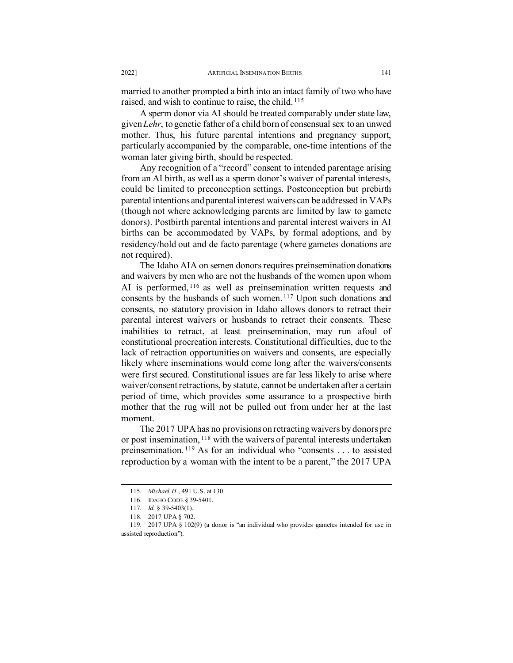married to another prompted a birth into an intact family of two who have raised, and wish to continue to raise, the child. [115](#page-16-0)

A sperm donor via AI should be treated comparably under state law, given *Lehr*, to genetic father of a child born of consensual sex to an unwed mother. Thus, his future parental intentions and pregnancy support, particularly accompanied by the comparable, one-time intentions of the woman later giving birth, should be respected.

Any recognition of a "record" consent to intended parentage arising from an AI birth, as well as a sperm donor's waiver of parental interests, could be limited to preconception settings. Postconception but prebirth parental intentions and parental interest waivers can be addressed in VAPs (though not where acknowledging parents are limited by law to gamete donors). Postbirth parental intentions and parental interest waivers in AI births can be accommodated by VAPs, by formal adoptions, and by residency/hold out and de facto parentage (where gametes donations are not required).

The Idaho AIA on semen donors requires preinsemination donations and waivers by men who are not the husbands of the women upon whom AI is performed, <sup>[116](#page-16-1)</sup> as well as preinsemination written requests and consents by the husbands of such women. [117](#page-16-2) Upon such donations and consents, no statutory provision in Idaho allows donors to retract their parental interest waivers or husbands to retract their consents. These inabilities to retract, at least preinsemination, may run afoul of constitutional procreation interests. Constitutional difficulties, due to the lack of retraction opportunities on waivers and consents, are especially likely where inseminations would come long after the waivers/consents were first secured. Constitutional issues are far less likely to arise where waiver/consent retractions, by statute, cannot be undertaken after a certain period of time, which provides some assurance to a prospective birth mother that the rug will not be pulled out from under her at the last moment.

The 2017 UPA has no provisions on retracting waivers by donors pre or post insemination, <sup>[118](#page-16-3)</sup> with the waivers of parental interests undertaken preinsemination. [119](#page-16-4) As for an individual who "consents . . . to assisted reproduction by a woman with the intent to be a parent," the 2017 UPA

<sup>115</sup>*. Michael H*., 491 U.S. at 130.

<sup>116.</sup> IDAHO CODE § 39-5401.

<sup>117</sup>*. Id.* § 39-5403(1).

<sup>118.</sup> 2017 UPA § 702.

<span id="page-16-4"></span><span id="page-16-3"></span><span id="page-16-2"></span><span id="page-16-1"></span><span id="page-16-0"></span><sup>119.</sup> 2017 UPA § 102(9) (a donor is "an individual who provides gametes intended for use in assisted reproduction").